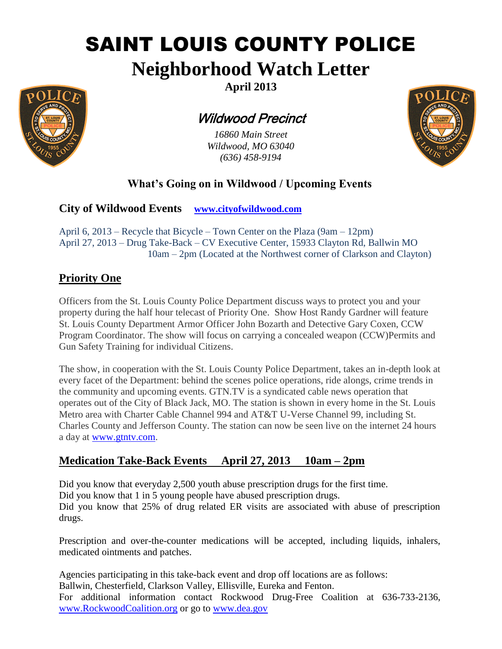# SAINT LOUIS COUNTY POLICE

**Neighborhood Watch Letter**



**April 2013**

## Wildwood Precinct

*16860 Main Street Wildwood, MO 63040 (636) 458-9194*



### **What's Going on in Wildwood / Upcoming Events**

**City of Wildwood Events [www.cityofwildwood.com](http://www.cityofwildwood.com/)**

April 6, 2013 – Recycle that Bicycle – Town Center on the Plaza (9am – 12pm) April 27, 2013 – Drug Take-Back – CV Executive Center, 15933 Clayton Rd, Ballwin MO 10am – 2pm (Located at the Northwest corner of Clarkson and Clayton)

#### **Priority One**

Officers from the St. Louis County Police Department discuss ways to protect you and your property during the half hour telecast of Priority One. Show Host Randy Gardner will feature St. Louis County Department Armor Officer John Bozarth and Detective Gary Coxen, CCW Program Coordinator. The show will focus on carrying a concealed weapon (CCW)Permits and Gun Safety Training for individual Citizens.

The show, in cooperation with the St. Louis County Police Department, takes an in-depth look at every facet of the Department: behind the scenes police operations, ride alongs, crime trends in the community and upcoming events. GTN.TV is a syndicated cable news operation that operates out of the City of Black Jack, MO. The station is shown in every home in the St. Louis Metro area with Charter Cable Channel 994 and AT&T U-Verse Channel 99, including St. Charles County and Jefferson County. The station can now be seen live on the internet 24 hours a day at [www.gtntv.com.](http://www.gtntv.com/)

#### **Medication Take-Back Events April 27, 2013 10am – 2pm**

Did you know that everyday 2,500 youth abuse prescription drugs for the first time. Did you know that 1 in 5 young people have abused prescription drugs. Did you know that 25% of drug related ER visits are associated with abuse of prescription drugs.

Prescription and over-the-counter medications will be accepted, including liquids, inhalers, medicated ointments and patches.

Agencies participating in this take-back event and drop off locations are as follows: Ballwin, Chesterfield, Clarkson Valley, Ellisville, Eureka and Fenton. For additional information contact Rockwood Drug-Free Coalition at 636-733-2136, [www.RockwoodCoalition.org](http://www.rockwoodcoalition.org/) or go to [www.dea.gov](http://www.dea.gov/)